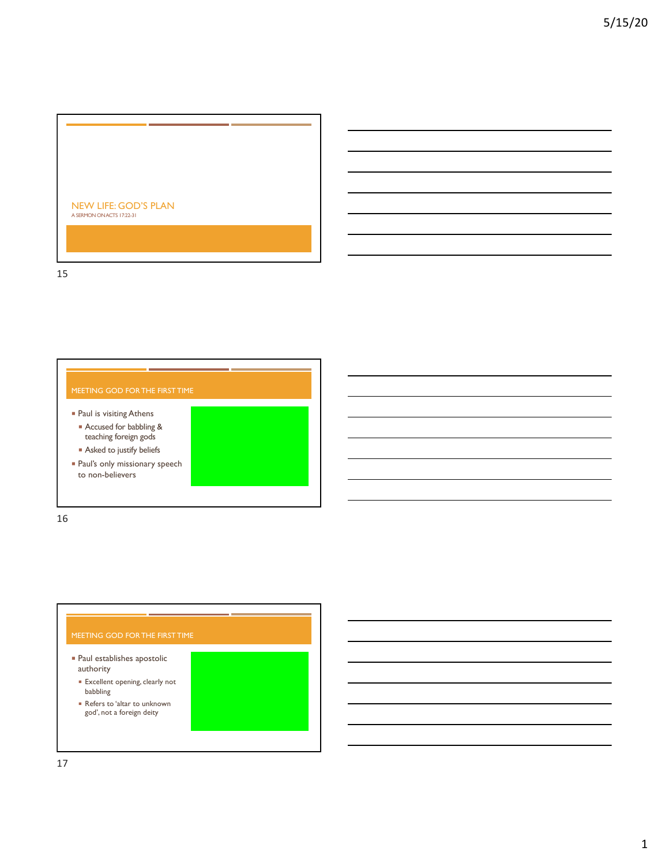

15

- Paul is visiting Athens ¡ Accused for babbling & teaching foreign gods **• Asked to justify beliefs**
- **Paul's only missionary speech** to non-believers

16

### $\blacksquare$  Paul establishes apostolic authority

- **Excellent opening, clearly not** babbling
- ¡ Refers to 'altar to unknown god', not a foreign deity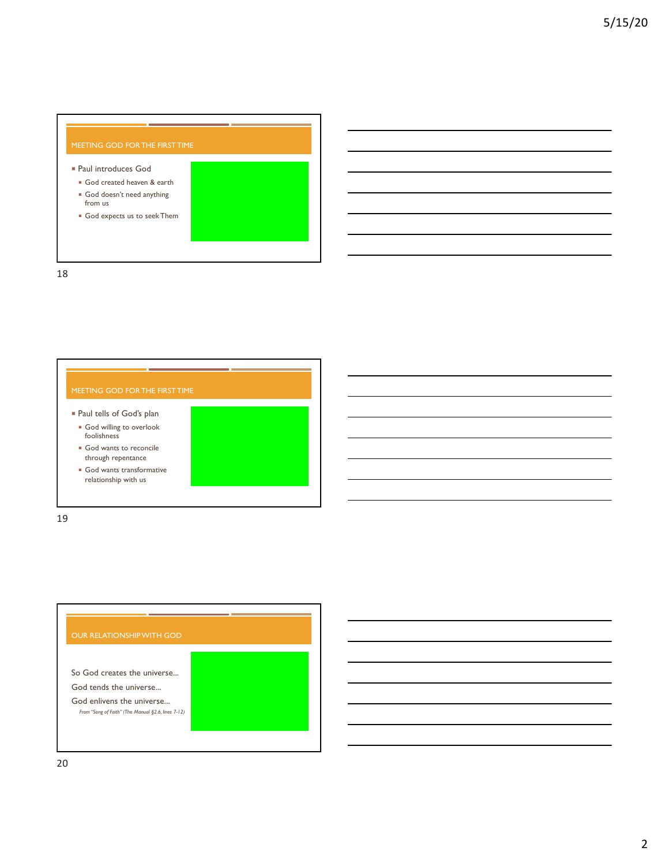## ¡ Paul introduces God ¡ God created heaven & earth ¡ God doesn't need anything from us ¡ God expects us to seek Them

18

- ¡ Paul tells of God's plan **• God willing to overlook** foolishness
- **God wants to reconcile** through repentance
- **God wants transformative** relationship with us

19

# So God creates the universe... God tends the universe... God enlivens the universe... *From "Song of Faith" (The Manual §2.6, lines 7-12)*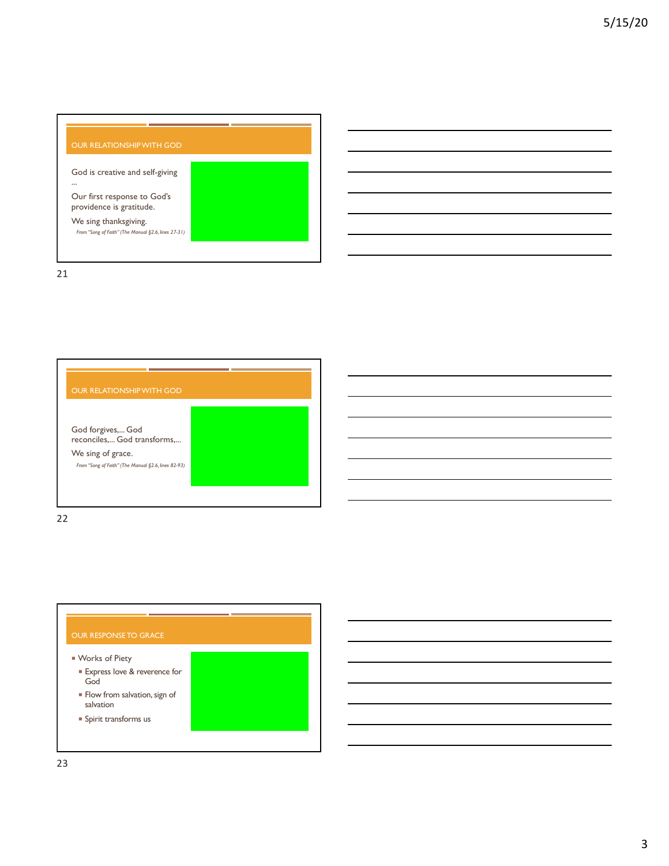

21



22